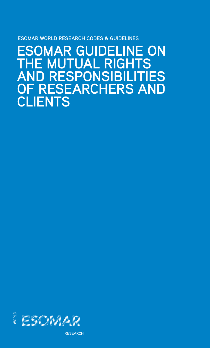**ESOMAR WORLD RESEARCH CODES & GUIDELINES**

# **ESOMAR GUIDELINE ON THE MUTUAL RIGHTS AND RESPONSIBILITIES OF RESEARCHERS AND CLIENTS**



**RESEARCH**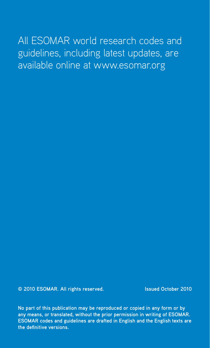All ESOMAR world research codes and guidelines, including latest updates, are available online at www.esomar.org

**© 2010 ESOMAR. All rights reserved. Issued October 2010**

**No part of this publication may be reproduced or copied in any form or by any means, or translated, without the prior permission in writing of ESOMAR. ESOMAR codes and guidelines are drafted in English and the English texts are the definitive versions.**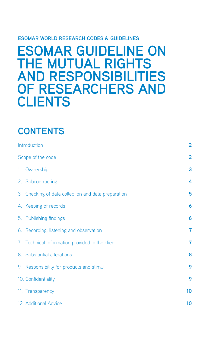#### **ESOMAR WORLD RESEARCH CODES & GUIDELINES**

# **ESOMAR GUIDELINE ON THE MUTUAL RIGHTS AND RESPONSIBILITIES OF RESEARCHERS AND CLIENTS**

## **CONTENTS**

|                   | Introduction                                        | $\overline{2}$ |
|-------------------|-----------------------------------------------------|----------------|
| Scope of the code |                                                     | $\overline{2}$ |
|                   | 1. Ownership                                        | 3              |
|                   | 2. Subcontracting                                   | 4              |
|                   | 3. Checking of data collection and data preparation | 5              |
|                   | 4. Keeping of records                               | 6              |
|                   | 5. Publishing findings                              | 6              |
|                   | 6. Recording, listening and observation             | $\overline{7}$ |
|                   | 7. Technical information provided to the client     | $\overline{7}$ |
|                   | 8. Substantial alterations                          | 8              |
|                   | 9. Responsibility for products and stimuli          | 9              |
|                   | 10. Confidentiality                                 | 9              |
|                   | 11. Transparency                                    | 10             |
|                   | 12. Additional Advice                               | 10             |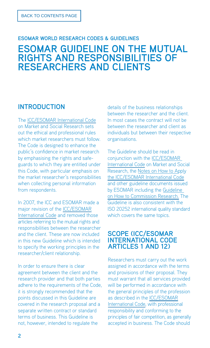### <span id="page-3-0"></span>**ESOMAR GUIDELINE ON THE MUTUAL RIGHTS AND RESPONSIBILITIES OF RESEARCHERS AND CLIENTS ESOMAR WORLD RESEARCH CODES & GUIDELINES**

#### **INTRODUCTION**

The [ICC/ESOMAR International Code](http://www.esomar.org/uploads/pdf/professional-standards/ICCESOMAR_Code_English_.pdf) on Market and Social Research sets out the ethical and professional rules which market researchers must follow. The Code is designed to enhance the public's confidence in market research by emphasising the rights and safeguards to which they are entitled under this Code, with particular emphasis on the market researcher's responsibilities when collecting personal information from respondents.

In 2007, the ICC and ESOMAR made a major revision of the [ICC/ESOMAR](http://www.esomar.org/uploads/pdf/professional-standards/ICCESOMAR_Code_English_.pdf) [International Code](http://www.esomar.org/uploads/pdf/professional-standards/ICCESOMAR_Code_English_.pdf) and removed those articles referring to the mutual rights and responsibilities between the researcher and the client. These are now included in this new Guideline which is intended to specify the working principles in the researcher/client relationship.

In order to ensure there is clear agreement between the client and the research provider and that both parties adhere to the requirements of the Code, it is strongly recommended that the points discussed in this Guideline are covered in the research proposal and a separate written contract or standard terms of business. This Guideline is not, however, intended to regulate the

details of the business relationships between the researcher and the client. In most cases the contract will not be between the researcher and client as individuals but between their respective organisations.

The Guideline should be read in conjunction with the [ICC/ESOMAR](http://www.esomar.org/uploads/pdf/professional-standards/ICCESOMAR_Code_English_.pdf) [International Code](http://www.esomar.org/uploads/pdf/professional-standards/ICCESOMAR_Code_English_.pdf) on Market and Social Research, the [Notes on How to Apply](http://www.esomar.org/uploads/professional_standards/guidelines/ESOMAR_Codes&Guidelines_NotesHowToApplyCode.pdf)  [the ICC/ESOMAR International Code](http://www.esomar.org/uploads/professional_standards/guidelines/ESOMAR_Codes&Guidelines_NotesHowToApplyCode.pdf) and other guideline documents issued by ESOMAR including the [Guideline](http://www.esomar.org/uploads/pdf/ESOMAR_Codes&Guidelines_HowToCommissionResearch.pdf)  [on How to Commission Research.](http://www.esomar.org/uploads/pdf/ESOMAR_Codes&Guidelines_HowToCommissionResearch.pdf) The Guideline is also consistent with the ISO 20252 international quality standard which covers the same topics.

### **SCOPE (ICC/ESOMAR [International Code Articles 1 and 12\)](http://www.esomar.org/uploads/pdf/professional-standards/ICCESOMAR_Code_English_.pdf)**

Researchers must carry out the work assigned in accordance with the terms and provisions of their proposal. They must warrant that all services provided will be performed in accordance with the general principles of the profession as described in the [ICC/ESOMAR](http://www.esomar.org/uploads/pdf/professional-standards/ICCESOMAR_Code_English_.pdf)  [International Code,](http://www.esomar.org/uploads/pdf/professional-standards/ICCESOMAR_Code_English_.pdf) with professional responsibility and conforming to the principles of fair competition, as generally accepted in business. The Code should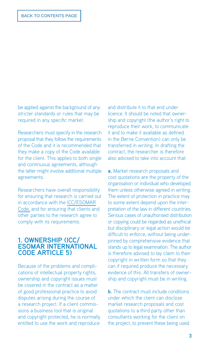<span id="page-4-0"></span>be applied against the background of any stricter standards or rules that may be required in any specific market.

Researchers must specify in the research proposal that they follow the requirements of the Code and it is recommended that they make a copy of the Code available for the client. This applies to both single and continuous agreements, although the latter might involve additional multiple agreements.

Researchers have overall responsibility for ensuring that research is carried out in accordance with the [ICC/ESOMAR](http://www.esomar.org/uploads/pdf/professional-standards/ICCESOMAR_Code_English_.pdf) [Code,](http://www.esomar.org/uploads/pdf/professional-standards/ICCESOMAR_Code_English_.pdf) and for ensuring that clients and other parties to the research agree to comply with its requirements.

#### **[1. OWNERSHIP \(ICC/](http://www.esomar.org/uploads/pdf/professional-standards/ICCESOMAR_Code_English_.pdf) ESOMAR International Code Article 5)**

Because of the problems and complications of intellectual property rights, ownership and copyright issues must be covered in the contract as a matter of good professional practice to avoid disputes arising during the course of a research project. If a client commissions a business tool that is original and copyright protected, he is normally entitled to use the work and reproduce

and distribute it to that end under licence. It should be noted that ownership and copyright (the author's right to reproduce their work, to communicate it and to make it available as defined in the Berne Convention) can only be transferred in writing. In drafting the contract, the researcher is therefore also advised to take into account that:

**a.** Market research proposals and cost quotations are the property of the organisation or individual who developed them unless otherwise agreed in writing. The extent of protection in practice may to some extent depend upon the interpretation of the law in different countries. Serious cases of unauthorised distribution or copying could be regarded as unethical but disciplinary or legal action would be difficult to enforce, without being underpinned by comprehensive evidence that stands up to legal examination. The author is therefore advised to lay claim to their copyright in written form so that they can if required produce the necessary evidence of this. All transfers of ownership and copyright must be in writing.

**b.** The contract must include conditions under which the client can disclose market research proposals and cost quotations to a third party other than consultants working for the client on the project, to prevent these being used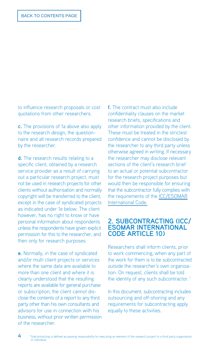to influence research proposals or cost quotations from other researchers.

**c.** The provisions of 1a above also apply to the research design, the questionnaire and all research records prepared by the researcher.

<span id="page-5-0"></span>**d.** The research results relating to a specific client, obtained by a research service provider as a result of carrying out a particular research project, must not be used in research projects for other clients without authorisation and normally copyright will be transferred to the client, except in the case of syndicated projects as indicated under 1e below. The client however, has no right to know or have personal information about respondents unless the respondents have given explicit permission for this to the researcher, and then only for research purposes. **BACK TO CONTENTS PAGE**<br>
influence research propos<br>
untainens from other research propos<br>
untainens of 1a abov<br>
the research design, the c<br>
taire and all research record<br>
the researcher.<br>
The research results relate<br>
invid

**e.** Normally, in the case of syndicated and/or multi client projects or services where the same data are available to more than one client and where it is clearly understood that the resulting reports are available for general purchase or subscription, the client cannot disclose the contents of a report to any third party other than his own consultants and advisors for use in connection with his business, without prior written permission of the researcher.

**4**

**f.** The contract must also include confidentiality clauses on the market research briefs, specifications and other information provided by the client. These must be treated in the strictest confidence and cannot be disclosed by the researcher to any third party unless otherwise agreed in writing. If necessary the researcher may disclose relevant sections of the client's research brief to an actual or potential subcontractor for the research project purposes but would then be responsible for ensuring that the subcontractor fully complies with the requirements of the [ICC/ESOMAR](http://www.esomar.org/uploads/pdf/professional-standards/ICCESOMAR_Code_English_.pdf)  [International Code.](http://www.esomar.org/uploads/pdf/professional-standards/ICCESOMAR_Code_English_.pdf)

#### **[2. SUBCONTRACTING \(ICC/](http://www.esomar.org/uploads/pdf/professional-standards/ICCESOMAR_Code_English_.pdf) ESOMAR International Code Article 10)**

Researchers shall inform clients, prior to work commencing, when any part of the work for them is to be subcontracted outside the researcher's own organisation. On request, clients shall be told the identity of any such subcontractor.<sup>1</sup>

In this document, subcontracting includes outsourcing and off-shoring and any requirements for subcontracting apply equally to these activities.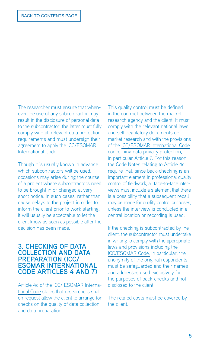<span id="page-6-0"></span>The researcher must ensure that whenever the use of any subcontractor may result in the disclosure of personal data to the subcontractor, the latter must fully comply with all relevant data protection requirements and must undersign their agreement to apply the ICC/ESOMAR International Code.

Though it is usually known in advance which subcontractors will be used, occasions may arise during the course of a project where subcontractors need to be brought in or changed at very short notice. In such cases, rather than cause delays to the project in order to inform the client prior to work starting, it will usually be acceptable to let the client know as soon as possible after the decision has been made.

#### **3. CHECKING OF DATA COLLECTION AND DATA PREPARATION (ICC/ ESOMAR International [Code Articles 4 and 7\)](http://www.esomar.org/uploads/pdf/professional-standards/ICCESOMAR_Code_English_.pdf)**

Article 4c of the [ICC/ ESOMAR Interna](http://www.esomar.org/uploads/pdf/professional-standards/ICCESOMAR_Code_English_.pdf)[tional Code](http://www.esomar.org/uploads/pdf/professional-standards/ICCESOMAR_Code_English_.pdf) states that researchers shall on request allow the client to arrange for checks on the quality of data collection and data preparation.

This quality control must be defined in the contract between the market research agency and the client. It must comply with the relevant national laws and self-regulatory documents on market research and with the provisions of the [ICC/ESOMAR International Code](http://www.esomar.org/uploads/pdf/professional-standards/ICCESOMAR_Code_English_.pdf) concerning data privacy protection, in particular Article 7. For this reason the Code Notes relating to Article 4c require that, since back-checking is an important element in professional quality control of fieldwork, all face-to-face interviews must include a statement that there is a possibility that a subsequent recall may be made for quality control purposes, unless the interview is conducted in a central location or recording is used.

If the checking is subcontracted by the client, the subcontractor must undertake in writing to comply with the appropriate laws and provisions including the [ICC/ESOMAR Code.](http://www.esomar.org/uploads/pdf/professional-standards/ICCESOMAR_Code_English_.pdf) In particular, the anonymity of the original respondents must be safeguarded and their names and addresses used exclusively for the purposes of back-checks and not disclosed to the client.

The related costs must be covered by the client.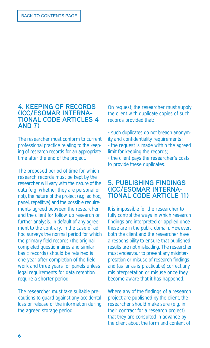### <span id="page-7-0"></span>**4. KEEPING OF RECORDS TIONAL CODE ARTICLES 4 and 7)**

The researcher must conform to current professional practice relating to the keeping of research records for an appropriate time after the end of the project.

The proposed period of time for which research records must be kept by the researcher will vary with the nature of the data (e.g. whether they are personal or not), the nature of the project (e.g. ad hoc, panel, repetitive) and the possible requirements agreed between the researcher and the client for follow up research or further analysis. In default of any agreement to the contrary, in the case of ad hoc surveys the normal period for which the primary field records (the original completed questionnaires and similar basic records) should be retained is one year after completion of the fieldwork and three years for panels unless legal requirements for data retention require a shorter period.

The researcher must take suitable precautions to guard against any accidental loss or release of the information during the agreed storage period.

On request, the researcher must supply the client with duplicate copies of such records provided that:

• such duplicates do not breach anonymity and confidentiality requirements; • the request is made within the agreed limit for keeping the records; • the client pays the researcher's costs to provide these duplicates.

### **5. PUBLISHING FINDINGS (ICC/ESOMAR Interna- [tional Code Article 11\)](http://www.esomar.org/uploads/pdf/professional-standards/ICCESOMAR_Code_English_.pdf)**

It is impossible for the researcher to fully control the ways in which research findings are interpreted or applied once these are in the public domain. However, both the client and the researcher have a responsibility to ensure that published results are not misleading. The researcher must endeavour to prevent any misinterpretation or misuse of research findings, and (as far as is practicable) correct any misinterpretation or misuse once they become aware that it has happened.

Where any of the findings of a research project are published by the client, the researcher should make sure (e.g. in their contract for a research project) that they are consulted in advance by the client about the form and content of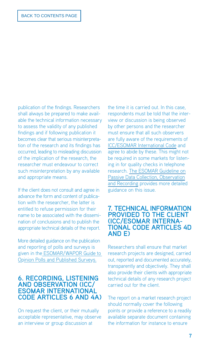<span id="page-8-0"></span>publication of the findings. Researchers shall always be prepared to make available the technical information necessary to assess the validity of any published findings and if following publication it becomes clear that serious misinterpretation of the research and its findings has occurred, leading to misleading discussion of the implication of the research, the researcher must endeavour to correct such misinterpretation by any available and appropriate means.

If the client does not consult and agree in advance the form and content of publication with the researcher, the latter is entitled to refuse permission for their name to be associated with the dissemination of conclusions and to publish the appropriate technical details of the report.

More detailed guidance on the publication and reporting of polls and surveys is [given in the ESOMAR/WAPOR Guide to](http://www.esomar.org/uploads/professional_standards/guidelines/WAPOR-ESOMAR_Guidelines.pdf)  Opinion Polls and Published Surveys.

#### **6. RECORDING, LISTENING AND OBSERVATION (ICC/ ESOMAR International [Code Articles 6 and 4a\)](http://www.esomar.org/uploads/pdf/professional-standards/ICCESOMAR_Code_English_.pdf)**

On request the client, or their mutually acceptable representative, may observe an interview or group discussion at

the time it is carried out. In this case, respondents must be told that the interview or discussion is being observed by other persons and the researcher must ensure that all such observers are fully aware of the requirements of [ICC/ESOMAR International Code](http://www.esomar.org/uploads/pdf/professional-standards/ICCESOMAR_Code_English_.pdf) and agree to abide by these. This might not be required in some markets for listening in for quality checks in telephone research. [The ESOMAR Guideline on](http://www.esomar.org/uploads/professional_standards/guidelines/ESOMAR_Guideline_on_Passive_Data_Collection_November2008_.pdf) [Passive Data Collection, Observation](http://www.esomar.org/uploads/professional_standards/guidelines/ESOMAR_Guideline_on_Passive_Data_Collection_November2008_.pdf)  [and Recording](http://www.esomar.org/uploads/professional_standards/guidelines/ESOMAR_Guideline_on_Passive_Data_Collection_November2008_.pdf) provides more detailed guidance on this issue.

### **7. TECHNICAL INFORMATION PROVIDED TO THE CLIENT (ICC/ESOMAR Interna- [tional Code Articles 4d](http://www.esomar.org/uploads/pdf/professional-standards/ICCESOMAR_Code_English_.pdf) and e)**

Researchers shall ensure that market research projects are designed, carried out, reported and documented accurately, transparently and objectively. They shall also provide their clients with appropriate technical details of any research project carried out for the client.

The report on a market research project should normally cover the following points or provide a reference to a readily available separate document containing the information for instance to ensure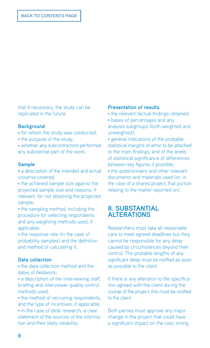<span id="page-9-0"></span>that if necessary, the study can be replicated in the future.

#### **Background**

- for whom the study was conducted;
- the purpose of the study;
- whether any subcontractors performed any substantial part of the work;

#### **Sample**

• a description of the intended and actual universe covered;

• the achieved sample size against the projected sample size and reasons, if relevant, for not obtaining the projected sample;

• the sampling method, including the procedure for selecting respondents and any weighting methods used, if applicable;

• the response rate (in the case of probability samples) and the definition and method of calculating it;

#### **Data collection**

• the data collection method and the dates of fieldwork;

• a description of the interviewing staff, briefing and interviewer quality control methods used;

• the method of recruiting respondents; and the type of incentives, if applicable; • in the case of desk research, a clear statement of the sources of the information and their likely reliability;

#### **Presentation of results**

• the relevant factual findings obtained;

• bases of percentages and any analysis subgroups (both weighted and unweighted);

• general indications of the probable statistical margins of error to be attached to the main findings, and of the levels of statistical significance of differences between key figures if possible;

• the questionnaire and other relevant documents and materials used (or, in the case of a shared project, that portion relating to the matter reported on).

#### **8. SUBSTANTIAL ALTERATIONS**

Researchers must take all reasonable care to meet agreed deadlines but they cannot be responsible for any delay caused by circumstances beyond their control. The probable lengths of any significant delay must be notified as soon as possible to the client.

If there is any alteration to the specification agreed with the client during the course of the project, this must be notified to the client.

Both parties must approve any major change in the project that could have a significant impact on the cost, timing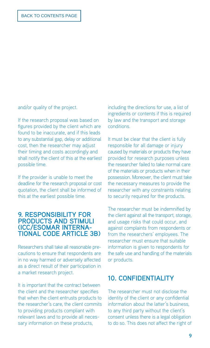<span id="page-10-0"></span>and/or quality of the project.

If the research proposal was based on figures provided by the client which are found to be inaccurate, and if this leads to any substantial gap, delay or additional cost, then the researcher may adjust their timing and costs accordingly and shall notify the client of this at the earliest possible time.

If the provider is unable to meet the deadline for the research proposal or cost quotation, the client shall be informed of this at the earliest possible time.

### **9. RESPONSIBILITY FOR PRODUCTS AND STIMULI (ICC/ESOMAR Interna- [tional Code Article 3b\)](http://www.esomar.org/uploads/pdf/professional-standards/ICCESOMAR_Code_English_.pdf)**

Researchers shall take all reasonable precautions to ensure that respondents are in no way harmed or adversely affected as a direct result of their participation in a market research project.

It is important that the contract between the client and the researcher specifies that when the client entrusts products to the researcher's care, the client commits to providing products compliant with relevant laws and to provide all necessary information on these products,

including the directions for use, a list of ingredients or contents if this is required by law and the transport and storage conditions.

It must be clear that the client is fully responsible for all damage or injury caused by materials or products they have provided for research purposes unless the researcher failed to take normal care of the materials or products when in their possession. Moreover, the client must take the necessary measures to provide the researcher with any constraints relating to security required for the products.

The researcher must be indemnified by the client against all the transport, storage, and usage risks that could occur, and against complaints from respondents or from the researchers' employees. The researcher must ensure that suitable information is given to respondents for the safe use and handling of the materials or products.

#### **10. CONFIDENTIALITY**

The researcher must not disclose the identity of the client or any confidential information about the latter's business, to any third party without the client's consent unless there is a legal obligation to do so. This does not affect the right of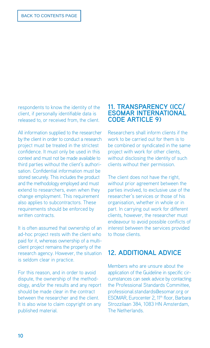<span id="page-11-0"></span>respondents to know the identity of the client, if personally identifiable data is released to, or received from, the client.

All information supplied to the researcher by the client in order to conduct a research project must be treated in the strictest confidence. It must only be used in this context and must not be made available to third parties without the client's authorisation. Confidential information must be stored securely. This includes the product and the methodology employed and must extend to researchers, even when they change employment. This requirement also applies to subcontractors. These requirements should be enforced by written contracts.

It is often assumed that ownership of an ad-hoc project rests with the client who paid for it, whereas ownership of a multiclient project remains the property of the research agency. However, the situation is seldom clear in practice.

For this reason, and in order to avoid dispute, the ownership of the methodology, and/or the results and any report should be made clear in the contract between the researcher and the client. It is also wise to claim copyright on any published material.

#### **[11. TRANSPARENCY \(ICC/](http://www.esomar.org/uploads/pdf/professional-standards/ICCESOMAR_Code_English_.pdf) ESOMAR International Code Article 9)**

Researchers shall inform clients if the work to be carried out for them is to be combined or syndicated in the same project with work for other clients, without disclosing the identity of such clients without their permission.

The client does not have the right, without prior agreement between the parties involved, to exclusive use of the researcher's services or those of his organisation, whether in whole or in part. In carrying out work for different clients, however, the researcher must endeavour to avoid possible conflicts of interest between the services provided to those clients.

#### **12. ADDITIONAL ADVICE**

Members who are unsure about the application of the Guideline in specific circumstances can seek advice by contacting the Professional Standards Committee, professional.standards@esomar.org or ESOMAR, Eurocenter 2, 11<sup>th</sup> floor, Barbara Strozzilaan 384, 1083 HN Amsterdam, The Netherlands.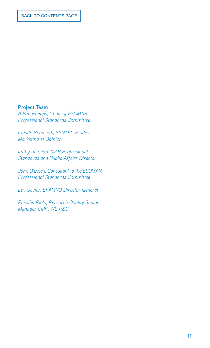#### **Project Team**

*Adam Phillips, Chair of ESOMAR Professional Standards Committee*

*Claude Bénazeth, SYNTEC Etudes Marketing et Opinion*

*Kathy Joe, ESOMAR Professional Standards and Public Affairs Director* 

*John O'Brien, Consultant to the ESOMAR Professional Standards Committee*

*Lex Olivier, EFAMRO Director General*

*Rosalba Riolo, Research Quality Senior Manager CMK, WE P&G*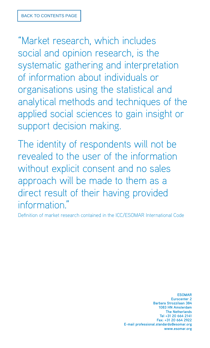"Market research, which includes social and opinion research, is the systematic gathering and interpretation of information about individuals or organisations using the statistical and analytical methods and techniques of the applied social sciences to gain insight or support decision making.

The identity of respondents will not be revealed to the user of the information without explicit consent and no sales approach will be made to them as a direct result of their having provided information."

Definition of market research contained in the ICC/ESOMAR International Code

**ESOMAR Eurocenter 2 Barbara Strozzilaan 384 1083 HN Amsterdam The Netherlands Tel +31 20 664 2141 Fax: +31 20 664 2922 E-mail professional.standards@esomar.org www.esomar.org**